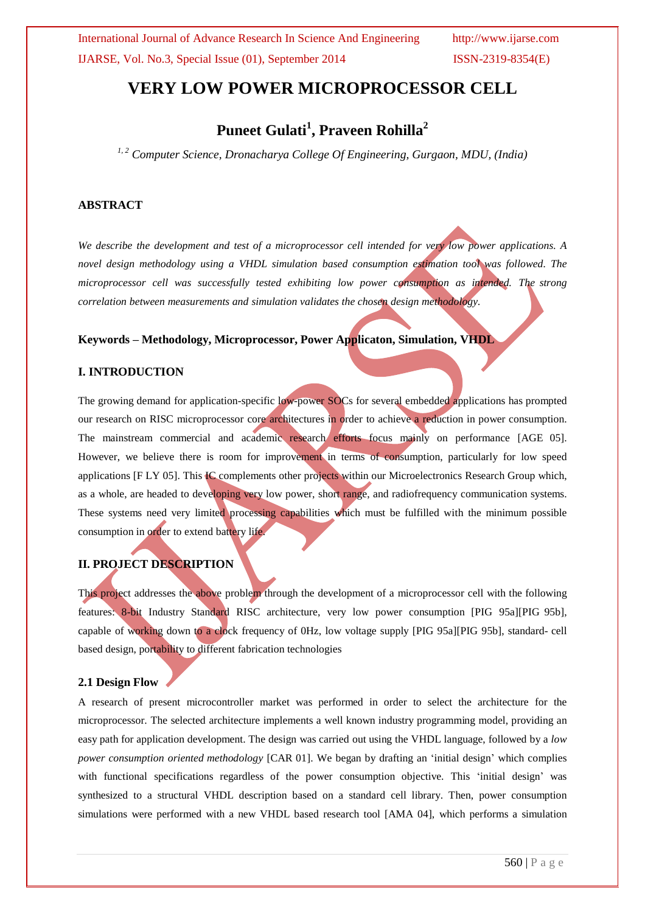# **VERY LOW POWER MICROPROCESSOR CELL**

# **Puneet Gulati<sup>1</sup> , Praveen Rohilla<sup>2</sup>**

*1, 2 Computer Science, Dronacharya College Of Engineering, Gurgaon, MDU, (India)*

### **ABSTRACT**

*We describe the development and test of a microprocessor cell intended for very low power applications. A novel design methodology using a VHDL simulation based consumption estimation tool was followed. The microprocessor cell was successfully tested exhibiting low power consumption as intended. The strong correlation between measurements and simulation validates the chosen design methodology.*

#### **Keywords – Methodology, Microprocessor, Power Applicaton, Simulation, VHDL**

#### **I. INTRODUCTION**

The growing demand for application-specific low-power SOCs for several embedded applications has prompted our research on RISC microprocessor core architectures in order to achieve a reduction in power consumption. The mainstream commercial and academic research efforts focus mainly on performance [AGE 05]. However, we believe there is room for improvement in terms of consumption, particularly for low speed applications [F LY 05]. This IC complements other projects within our Microelectronics Research Group which, as a whole, are headed to developing very low power, short range, and radiofrequency communication systems. These systems need very limited processing capabilities which must be fulfilled with the minimum possible consumption in order to extend battery life.

### **II. PROJECT DESCRIPTION**

This project addresses the above problem through the development of a microprocessor cell with the following features: 8-bit Industry Standard RISC architecture, very low power consumption [PIG 95a][PIG 95b], capable of working down to a clock frequency of 0Hz, low voltage supply [PIG 95a][PIG 95b], standard- cell based design, portability to different fabrication technologies

#### **2.1 Design Flow**

A research of present microcontroller market was performed in order to select the architecture for the microprocessor. The selected architecture implements a well known industry programming model, providing an easy path for application development. The design was carried out using the VHDL language, followed by a *low power consumption oriented methodology* [CAR 01]. We began by drafting an 'initial design' which complies with functional specifications regardless of the power consumption objective. This 'initial design' was synthesized to a structural VHDL description based on a standard cell library. Then, power consumption simulations were performed with a new VHDL based research tool [AMA 04], which performs a simulation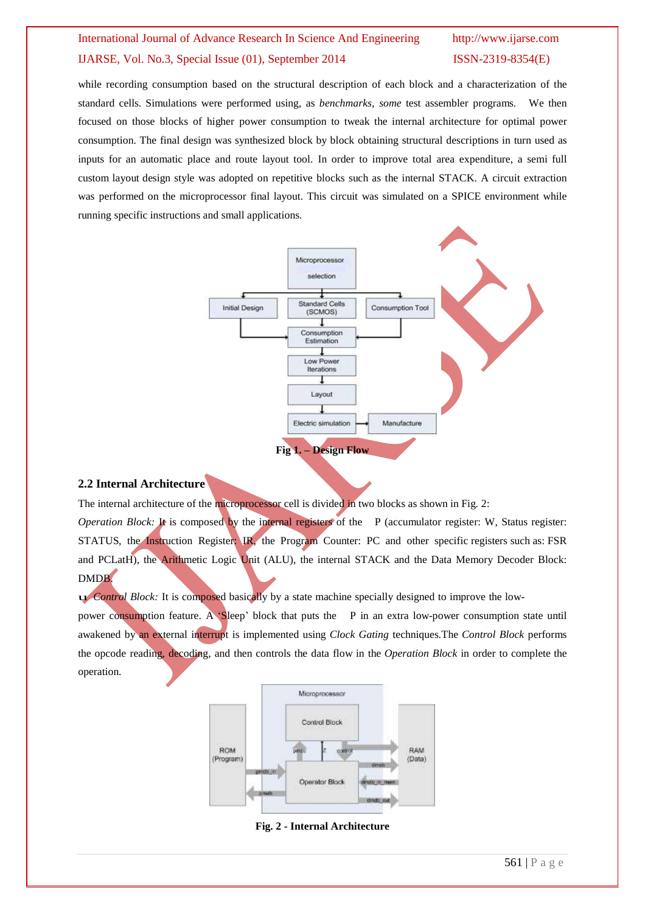while recording consumption based on the structural description of each block and a characterization of the standard cells. Simulations were performed using, as *benchmarks, some* test assembler programs. We then focused on those blocks of higher power consumption to tweak the internal architecture for optimal power consumption. The final design was synthesized block by block obtaining structural descriptions in turn used as inputs for an automatic place and route layout tool. In order to improve total area expenditure, a semi full custom layout design style was adopted on repetitive blocks such as the internal STACK. A circuit extraction was performed on the microprocessor final layout. This circuit was simulated on a SPICE environment while running specific instructions and small applications.



### **2.2 Internal Architecture**

The internal architecture of the microprocessor cell is divided in two blocks as shown in Fig. 2: *Operation Block:* It is composed by the internal registers of the P (accumulator register: W, Status register: STATUS, the Instruction Register: IR, the Program Counter: PC and other specific registers such as: FSR and PCLatH), the Arithmetic Logic Unit (ALU), the internal STACK and the Data Memory Decoder Block: DMDB.

u *Control Block:* It is composed basically by <sup>a</sup> state machine specially designed to improve the low-

power consumption feature. A 'Sleep' block that puts the P in an extra low-power consumption state until awakened by an external interrupt is implemented using *Clock Gating* techniques.The *Control Block* performs the opcode reading, decoding, and then controls the data flow in the *Operation Block* in order to complete the operation.



**Fig. 2 - Internal Architecture**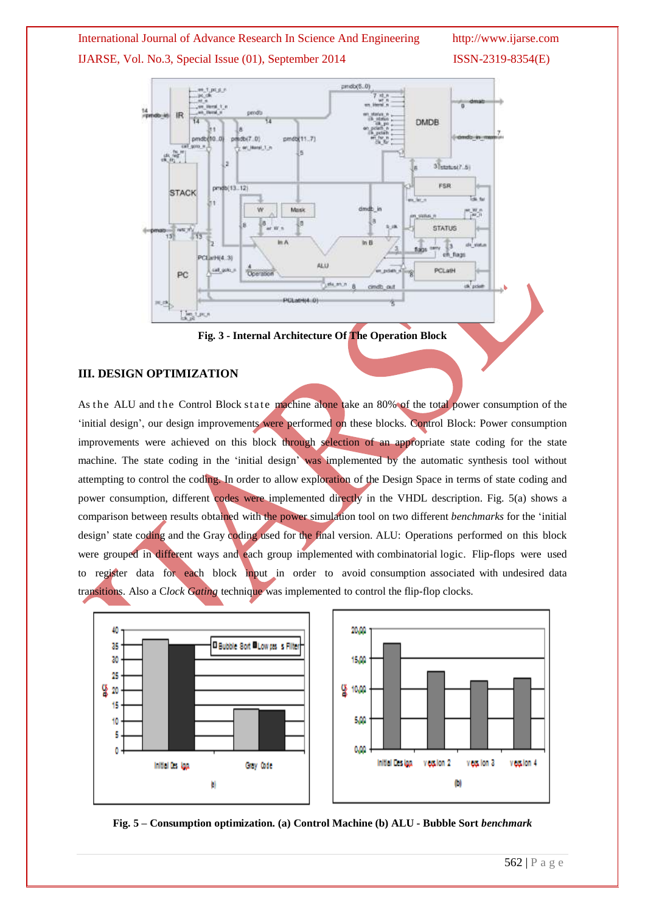

**Fig. 3 - Internal Architecture Of The Operation Block**

## **III. DESIGN OPTIMIZATION**

As the ALU and the Control Block state machine alone take an 80% of the total power consumption of the 'initial design', our design improvements were performed on these blocks. Control Block: Power consumption improvements were achieved on this block through selection of an appropriate state coding for the state machine. The state coding in the 'initial design' was implemented by the automatic synthesis tool without attempting to control the coding. In order to allow exploration of the Design Space in terms of state coding and power consumption, different codes were implemented directly in the VHDL description. Fig. 5(a) shows a comparison between results obtained with the power simulation tool on two different *benchmarks* for the 'initial design' state coding and the Gray coding used for the final version. ALU: Operations performed on this block were grouped in different ways and each group implemented with combinatorial logic. Flip-flops were used to register data for each block input in order to avoid consumption associated with undesired data transitions. Also a C*lock Gating* technique was implemented to control the flip-flop clocks.



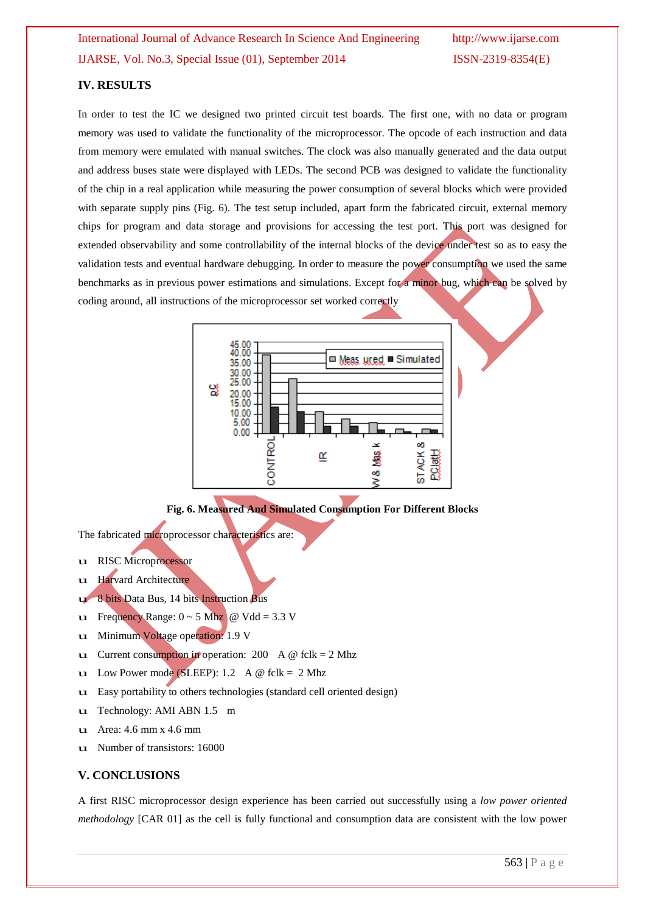### **IV. RESULTS**

In order to test the IC we designed two printed circuit test boards. The first one, with no data or program memory was used to validate the functionality of the microprocessor. The opcode of each instruction and data from memory were emulated with manual switches. The clock was also manually generated and the data output and address buses state were displayed with LEDs. The second PCB was designed to validate the functionality of the chip in a real application while measuring the power consumption of several blocks which were provided with separate supply pins (Fig. 6). The test setup included, apart form the fabricated circuit, external memory chips for program and data storage and provisions for accessing the test port. This port was designed for extended observability and some controllability of the internal blocks of the device under test so as to easy the validation tests and eventual hardware debugging. In order to measure the power consumption we used the same benchmarks as in previous power estimations and simulations. Except for a minor bug, which can be solved by coding around, all instructions of the microprocessor set worked correctly



**Fig. 6. Measured And Simulated Consumption For Different Blocks**

The fabricated microprocessor characteristics are:

- u RISC Microprocessor
- u Harvard Architecture
- 8 bits Data Bus, 14 bits Instruction Bus
- u Frequency Range:  $0 \sim 5$  Mhz @ Vdd = 3.3 V
- u Minimum Voltage operation: 1.9 <sup>V</sup>
- u Current consumption in operation: 200 A  $\omega$  fclk = 2 Mhz
- u Low Power mode (SLEEP): 1.2 A  $\omega$  fclk = 2 Mhz
- u Easy portability to others technologies (standard cell oriented design)
- u Technology: AMI ABN 1.5 m
- u Area: 4.6 mm x 4.6 mm
- u Number of transistors: 16000

### **V. CONCLUSIONS**

A first RISC microprocessor design experience has been carried out successfully using a *low power oriented methodology* [CAR 01] as the cell is fully functional and consumption data are consistent with the low power